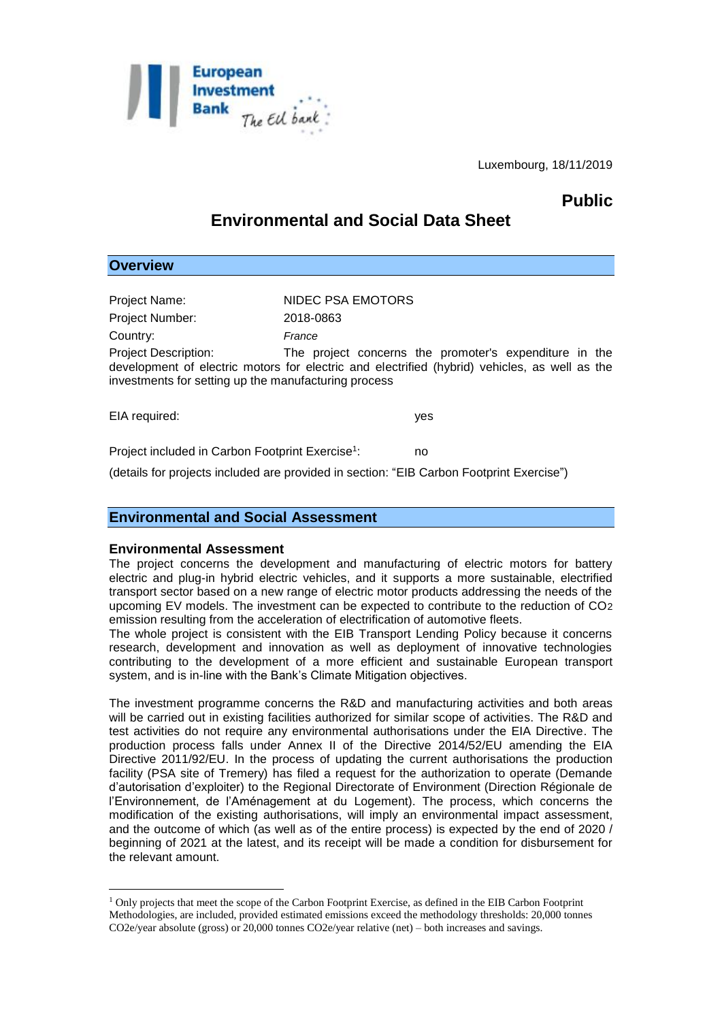

Luxembourg, 18/11/2019

# **Public**

# **Environmental and Social Data Sheet**

| Project Name:                                                                                                                                                                                                                                  | NIDEC PSA EMOTORS |     |
|------------------------------------------------------------------------------------------------------------------------------------------------------------------------------------------------------------------------------------------------|-------------------|-----|
| Project Number:                                                                                                                                                                                                                                | 2018-0863         |     |
| Country:                                                                                                                                                                                                                                       | France            |     |
| <b>Project Description:</b><br>The project concerns the promoter's expenditure in the<br>development of electric motors for electric and electrified (hybrid) vehicles, as well as the<br>investments for setting up the manufacturing process |                   |     |
| EIA required:                                                                                                                                                                                                                                  |                   | yes |
| Project included in Carbon Footprint Exercise <sup>1</sup> :                                                                                                                                                                                   |                   | no  |

(details for projects included are provided in section: "EIB Carbon Footprint Exercise")

## **Environmental and Social Assessment**

#### **Environmental Assessment**

1

**Overview**

The project concerns the development and manufacturing of electric motors for battery electric and plug-in hybrid electric vehicles, and it supports a more sustainable, electrified transport sector based on a new range of electric motor products addressing the needs of the upcoming EV models. The investment can be expected to contribute to the reduction of CO2 emission resulting from the acceleration of electrification of automotive fleets.

The whole project is consistent with the EIB Transport Lending Policy because it concerns research, development and innovation as well as deployment of innovative technologies contributing to the development of a more efficient and sustainable European transport system, and is in-line with the Bank's Climate Mitigation objectives.

The investment programme concerns the R&D and manufacturing activities and both areas will be carried out in existing facilities authorized for similar scope of activities. The R&D and test activities do not require any environmental authorisations under the EIA Directive. The production process falls under Annex II of the Directive 2014/52/EU amending the EIA Directive 2011/92/EU. In the process of updating the current authorisations the production facility (PSA site of Tremery) has filed a request for the authorization to operate (Demande d'autorisation d'exploiter) to the Regional Directorate of Environment (Direction Régionale de l'Environnement, de l'Aménagement at du Logement). The process, which concerns the modification of the existing authorisations, will imply an environmental impact assessment, and the outcome of which (as well as of the entire process) is expected by the end of 2020 / beginning of 2021 at the latest, and its receipt will be made a condition for disbursement for the relevant amount.

<sup>1</sup> Only projects that meet the scope of the Carbon Footprint Exercise, as defined in the EIB Carbon Footprint Methodologies, are included, provided estimated emissions exceed the methodology thresholds: 20,000 tonnes CO2e/year absolute (gross) or 20,000 tonnes CO2e/year relative (net) – both increases and savings.